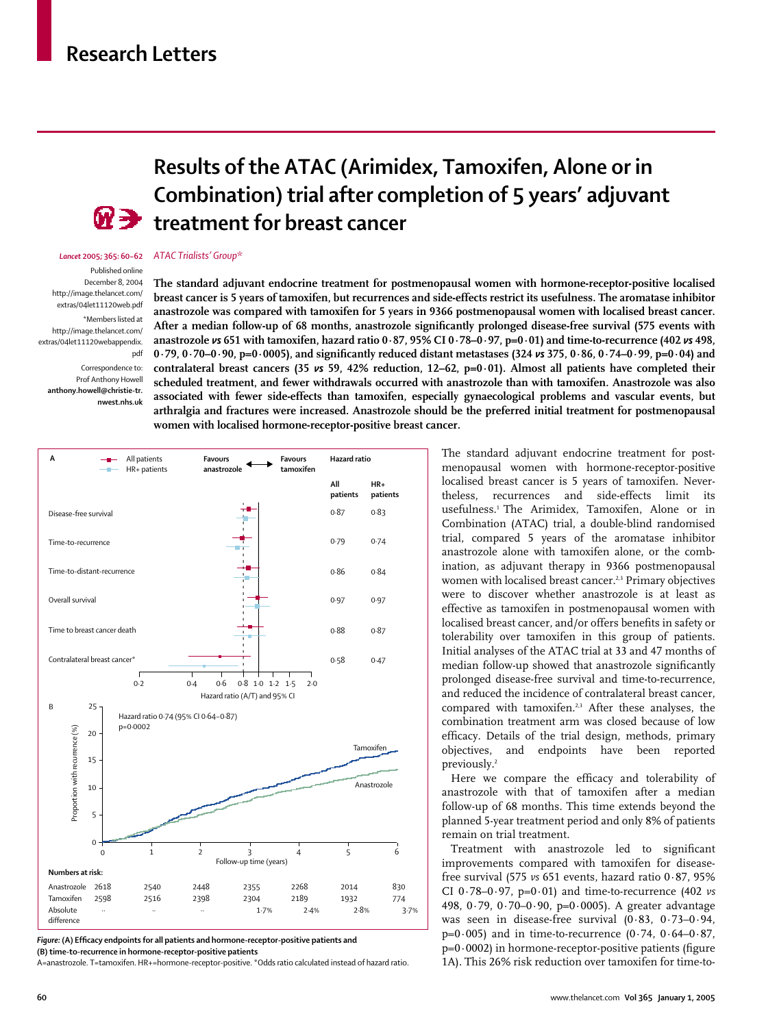## **Research Letters**



# **Results of the ATAC (Arimidex, Tamoxifen, Alone or in Combination) trial after completion of 5 years' adjuvant treatment for breast cancer**

#### *Lancet* **2005; 365: 60–62** *ATAC Trialists' Group*\*

Published online

December 8, 2004 http://image.thelancet.com/ extras/04let11120web.pdf \*Members listed at http://image.thelancet.com/

extras/04let11120webappendix. pdf Correspondence to:

Prof Anthony Howell **anthony.howell@christie-tr. nwest.nhs.uk** **The standard adjuvant endocrine treatment for postmenopausal women with hormone-receptor-positive localised breast cancer is 5 years of tamoxifen, but recurrences and side-effects restrict its usefulness. The aromatase inhibitor anastrozole was compared with tamoxifen for 5 years in 9366 postmenopausal women with localised breast cancer. After a median follow-up of 68 months, anastrozole significantly prolonged disease-free survival (575 events with anastrozole** *vs* **651 with tamoxifen, hazard ratio 0·87, 95% CI 0·78–0·97, p=0·01) and time-to-recurrence (402** *vs* **498, 0·79, 0·70–0·90, p=0·0005), and significantly reduced distant metastases (324** *vs* **375, 0·86, 0·74–0·99, p=0·04) and contralateral breast cancers (35** *vs* **59, 42% reduction, 12–62, p=0·01). Almost all patients have completed their scheduled treatment, and fewer withdrawals occurred with anastrozole than with tamoxifen. Anastrozole was also associated with fewer side-effects than tamoxifen, especially gynaecological problems and vascular events, but arthralgia and fractures were increased. Anastrozole should be the preferred initial treatment for postmenopausal women with localised hormone-receptor-positive breast cancer.**



*Figure:* **(A) Efficacy endpoints for all patients and hormone-receptor-positive patients and (B) time-to-recurrence in hormone-receptor-positive patients**

A=anastrozole. T=tamoxifen. HR+=hormone-receptor-positive. \*Odds ratio calculated instead of hazard ratio

The standard adjuvant endocrine treatment for postmenopausal women with hormone-receptor-positive localised breast cancer is 5 years of tamoxifen. Nevertheless, recurrences and side-effects limit its usefulness.1 The Arimidex, Tamoxifen, Alone or in Combination (ATAC) trial, a double-blind randomised trial, compared 5 years of the aromatase inhibitor anastrozole alone with tamoxifen alone, or the combination, as adjuvant therapy in 9366 postmenopausal women with localised breast cancer.<sup>2,3</sup> Primary objectives were to discover whether anastrozole is at least as effective as tamoxifen in postmenopausal women with localised breast cancer, and/or offers benefits in safety or tolerability over tamoxifen in this group of patients. Initial analyses of the ATAC trial at 33 and 47 months of median follow-up showed that anastrozole significantly prolonged disease-free survival and time-to-recurrence, and reduced the incidence of contralateral breast cancer, compared with tamoxifen.2,3 After these analyses, the combination treatment arm was closed because of low efficacy. Details of the trial design, methods, primary objectives, and endpoints have been reported previously.<sup>2</sup>

Here we compare the efficacy and tolerability of anastrozole with that of tamoxifen after a median follow-up of 68 months. This time extends beyond the planned 5-year treatment period and only 8% of patients remain on trial treatment.

Treatment with anastrozole led to significant improvements compared with tamoxifen for diseasefree survival (575 *vs* 651 events, hazard ratio 0·87, 95% CI 0·78–0·97, p=0·01) and time-to-recurrence (402 *vs* 498, 0·79, 0·70–0·90, p=0·0005). A greater advantage was seen in disease-free survival (0·83, 0·73–0·94,  $p=0.005$ ) and in time-to-recurrence  $(0.74, 0.64-0.87, 0.05)$  $p=0.0002$ ) in hormone-receptor-positive patients (figure 1A). This 26% risk reduction over tamoxifen for time-to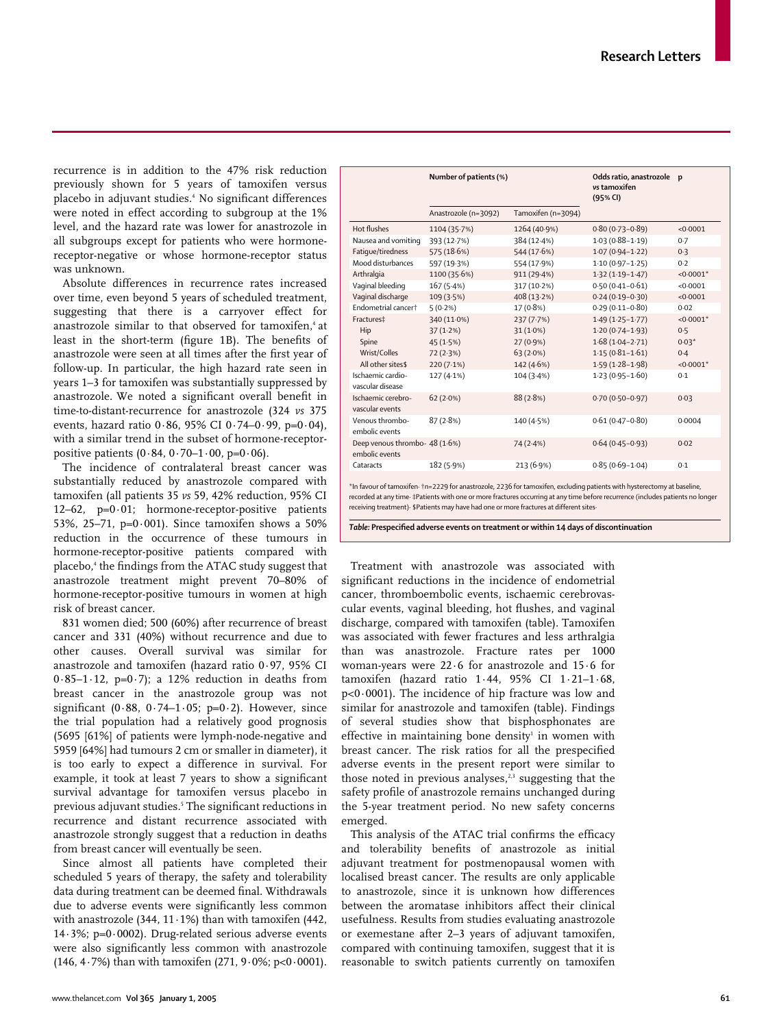recurrence is in addition to the 47% risk reduction previously shown for 5 years of tamoxifen versus placebo in adjuvant studies.4 No significant differences were noted in effect according to subgroup at the 1% level, and the hazard rate was lower for anastrozole in all subgroups except for patients who were hormonereceptor-negative or whose hormone-receptor status was unknown.

Absolute differences in recurrence rates increased over time, even beyond 5 years of scheduled treatment, suggesting that there is a carryover effect for anastrozole similar to that observed for tamoxifen.<sup>4</sup> at least in the short-term (figure 1B). The benefits of anastrozole were seen at all times after the first year of follow-up. In particular, the high hazard rate seen in years 1–3 for tamoxifen was substantially suppressed by anastrozole. We noted a significant overall benefit in time-to-distant-recurrence for anastrozole (324 *vs* 375 events, hazard ratio 0·86, 95% CI 0·74–0·99, p=0·04), with a similar trend in the subset of hormone-receptorpositive patients  $(0.84, 0.70 - 1.00, p=0.06)$ .

The incidence of contralateral breast cancer was substantially reduced by anastrozole compared with tamoxifen (all patients 35 *vs* 59, 42% reduction, 95% CI 12–62,  $p=0.01$ ; hormone-receptor-positive patients 53%, 25–71, p= $0.001$ ). Since tamoxifen shows a 50% reduction in the occurrence of these tumours in hormone-receptor-positive patients compared with placebo,<sup>4</sup> the findings from the ATAC study suggest that anastrozole treatment might prevent 70–80% of hormone-receptor-positive tumours in women at high risk of breast cancer.

831 women died; 500 (60%) after recurrence of breast cancer and 331 (40%) without recurrence and due to other causes. Overall survival was similar for anastrozole and tamoxifen (hazard ratio 0·97, 95% CI  $0.85-1.12$ , p=0.7); a 12% reduction in deaths from breast cancer in the anastrozole group was not significant (0.88, 0.74–1.05; p=0.2). However, since the trial population had a relatively good prognosis (5695 [61%] of patients were lymph-node-negative and 5959 [64%] had tumours 2 cm or smaller in diameter), it is too early to expect a difference in survival. For example, it took at least 7 years to show a significant survival advantage for tamoxifen versus placebo in previous adjuvant studies.<sup>5</sup> The significant reductions in recurrence and distant recurrence associated with anastrozole strongly suggest that a reduction in deaths from breast cancer will eventually be seen.

Since almost all patients have completed their scheduled 5 years of therapy, the safety and tolerability data during treatment can be deemed final. Withdrawals due to adverse events were significantly less common with anastrozole (344,  $11 \cdot 1\%$ ) than with tamoxifen (442, 14·3%; p=0·0002). Drug-related serious adverse events were also significantly less common with anastrozole (146, 4 $\cdot$  7%) than with tamoxifen (271, 9 $\cdot$  0%; p<0 $\cdot$  0001).

|                                                  | Number of patients (%) |                    | Odds ratio, anastrozole p<br>vs tamoxifen<br>(95% CI) |              |
|--------------------------------------------------|------------------------|--------------------|-------------------------------------------------------|--------------|
|                                                  | Anastrozole (n=3092)   | Tamoxifen (n=3094) |                                                       |              |
| Hot flushes                                      | 1104 (35.7%)           | 1264 (40.9%)       | $0.80(0.73 - 0.89)$                                   | <0.0001      |
| Nausea and vomiting                              | 393 (12.7%)            | 384 (12.4%)        | $1.03(0.88 - 1.19)$                                   | 0.7          |
| Fatique/tiredness                                | 575 (18.6%)            | 544 (17.6%)        | $1.07(0.94 - 1.22)$                                   | 0.3          |
| Mood disturbances                                | 597 (19.3%)            | 554 (17.9%)        | $1.10(0.97 - 1.25)$                                   | 0.2          |
| Arthralgia                                       | 1100 (35.6%)           | 911 (29.4%)        | $1.32(1.19-1.47)$                                     | $< 0.0001$ * |
| Vaginal bleeding                                 | 167(5.4%)              | 317 (10.2%)        | $0.50(0.41 - 0.61)$                                   | < 0.0001     |
| Vaginal discharge                                | 109(3.5%)              | 408 (13.2%)        | $0.24(0.19 - 0.30)$                                   | < 0.0001     |
| Endometrial cancert                              | 5(0.2%)                | 17 (0.8%)          | $0.29(0.11 - 0.80)$                                   | 0.02         |
| Fractures‡                                       | 340 (11.0%)            | 237(7.7%)          | $1.49(1.25 - 1.77)$                                   | $< 0.0001$ * |
| Hip                                              | 37(1.2%)               | $31(1.0\%)$        | $1.20(0.74 - 1.93)$                                   | 0.5          |
| Spine                                            | 45(1.5%)               | $27(0.9\%)$        | $1.68(1.04 - 2.71)$                                   | $0.03*$      |
| Wrist/Colles                                     | 72(2.3%)               | 63(2.0%)           | $1.15(0.81 - 1.61)$                                   | 0.4          |
| All other sites\$                                | $220(7.1\%)$           | 142 (4.6%)         | $1.59(1.28 - 1.98)$                                   | $< 0.0001$ * |
| Ischaemic cardio-                                | 127 (4.1%)             | 104 (3.4%)         | $1.23(0.95 - 1.60)$                                   | 0.1          |
| vascular disease                                 |                        |                    |                                                       |              |
| Ischaemic cerebro-                               | 62(2.0%)               | 88(2.8%)           | $0.70(0.50 - 0.97)$                                   | 0.03         |
| vascular events                                  |                        |                    |                                                       |              |
| Venous thrombo-                                  | 87(2.8%)               | 140 (4.5%)         | $0.61(0.47 - 0.80)$                                   | 0.0004       |
| embolic events                                   |                        |                    |                                                       |              |
| Deep venous thrombo- 48 (1.6%)<br>embolic events |                        | 74(2.4%)           | $0.64(0.45 - 0.93)$                                   | 0.02         |
| Cataracts                                        | 182 (5.9%)             | 213 (6.9%)         | $0.85(0.69 - 1.04)$                                   | 0.1          |

\*In favour of tamoxifen· †n=2229 for anastrozole, 2236 for tamoxifen, excluding patients with hysterectomy at baseline, recorded at any time· ‡Patients with one or more fractures occurring at any time before recurrence (includes patients no longer receiving treatment)· \$Patients may have had one or more fractures at different sites·

*Table:* **Prespecified adverse events on treatment or within 14 days of discontinuation** 

Treatment with anastrozole was associated with significant reductions in the incidence of endometrial cancer, thromboembolic events, ischaemic cerebrovascular events, vaginal bleeding, hot flushes, and vaginal discharge, compared with tamoxifen (table). Tamoxifen was associated with fewer fractures and less arthralgia than was anastrozole. Fracture rates per 1000 woman-years were 22·6 for anastrozole and 15·6 for tamoxifen (hazard ratio 1·44, 95% CI 1·21–1·68, p<0·0001). The incidence of hip fracture was low and similar for anastrozole and tamoxifen (table). Findings of several studies show that bisphosphonates are effective in maintaining bone density<sup>1</sup> in women with breast cancer. The risk ratios for all the prespecified adverse events in the present report were similar to those noted in previous analyses, $2,3$  suggesting that the safety profile of anastrozole remains unchanged during the 5-year treatment period. No new safety concerns emerged.

This analysis of the ATAC trial confirms the efficacy and tolerability benefits of anastrozole as initial adjuvant treatment for postmenopausal women with localised breast cancer. The results are only applicable to anastrozole, since it is unknown how differences between the aromatase inhibitors affect their clinical usefulness. Results from studies evaluating anastrozole or exemestane after 2–3 years of adjuvant tamoxifen, compared with continuing tamoxifen, suggest that it is reasonable to switch patients currently on tamoxifen